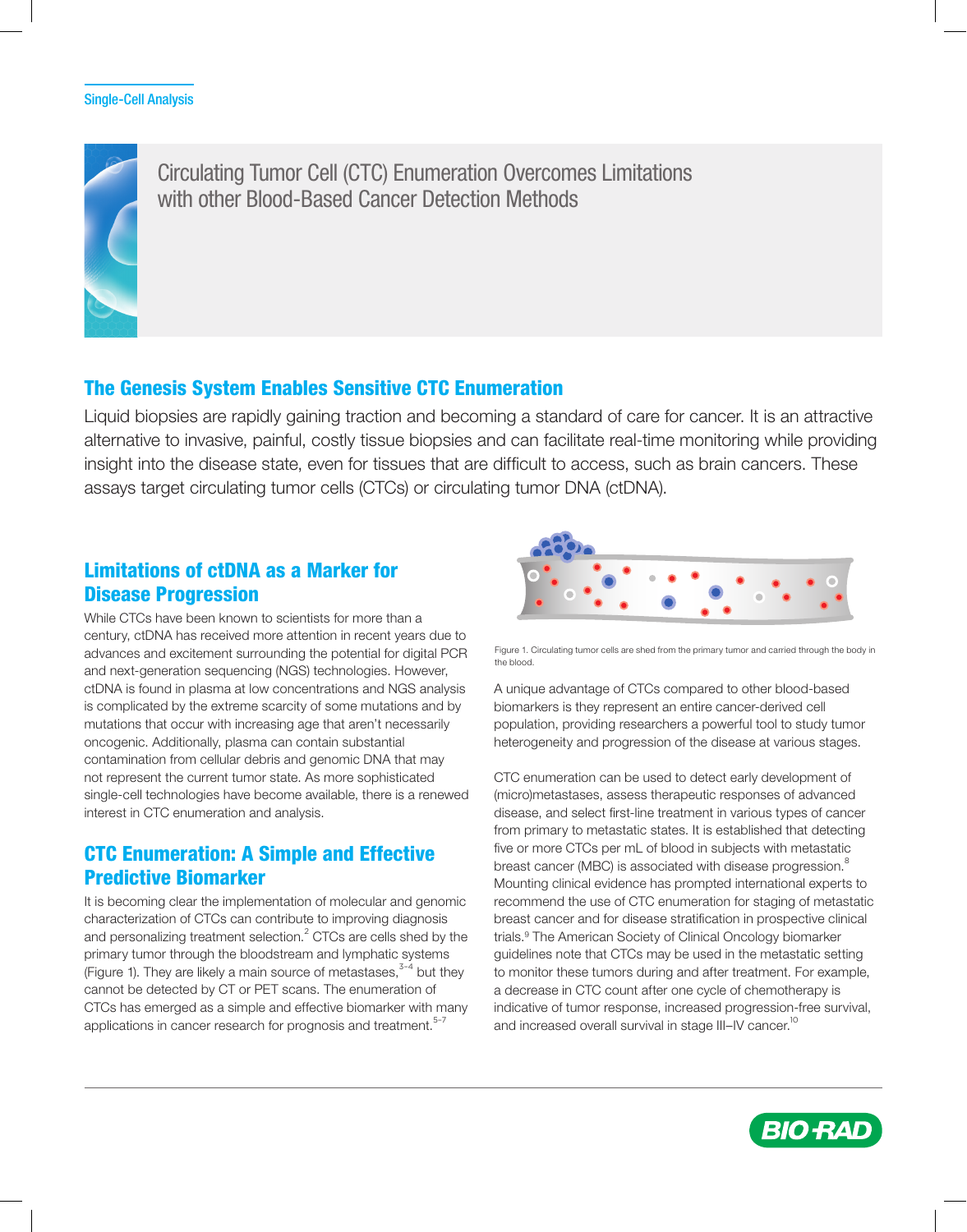

Circulating Tumor Cell (CTC) Enumeration Overcomes Limitations with other Blood-Based Cancer Detection Methods

## The Genesis System Enables Sensitive CTC Enumeration

Liquid biopsies are rapidly gaining traction and becoming a standard of care for cancer. It is an attractive alternative to invasive, painful, costly tissue biopsies and can facilitate real-time monitoring while providing insight into the disease state, even for tissues that are difficult to access, such as brain cancers. These assays target circulating tumor cells (CTCs) or circulating tumor DNA (ctDNA).

# Limitations of ctDNA as a Marker for Disease Progression

While CTCs have been known to scientists for more than a century, ctDNA has received more attention in recent years due to advances and excitement surrounding the potential for digital PCR and next-generation sequencing (NGS) technologies. However, ctDNA is found in plasma at low concentrations and NGS analysis is complicated by the extreme scarcity of some mutations and by mutations that occur with increasing age that aren't necessarily oncogenic. Additionally, plasma can contain substantial contamination from cellular debris and genomic DNA that may not represent the current tumor state. As more sophisticated single-cell technologies have become available, there is a renewed interest in CTC enumeration and analysis.

# CTC Enumeration: A Simple and Effective Predictive Biomarker

It is becoming clear the implementation of molecular and genomic characterization of CTCs can contribute to improving diagnosis and personalizing treatment selection.<sup>2</sup> CTCs are cells shed by the primary tumor through the bloodstream and lymphatic systems (Figure 1). They are likely a main source of metastases, $3-4$  but they cannot be detected by CT or PET scans. The enumeration of CTCs has emerged as a simple and effective biomarker with many applications in cancer research for prognosis and treatment.<sup>5-7</sup>



Figure 1. Circulating tumor cells are shed from the primary tumor and carried through the body in the blood.

population, providing researchers a powerful tool to study tumor heterogeneity and progression of the disease at various stages. A unique advantage of CTCs compared to other blood-based biomarkers is they represent an entire cancer-derived cell

CTC enumeration can be used to detect early development of (micro)metastases, assess therapeutic responses of advanced disease, and select first-line treatment in various types of cancer from primary to metastatic states. It is established that detecting five or more CTCs per mL of blood in subjects with metastatic breast cancer (MBC) is associated with disease progression.<sup>8</sup> Mounting clinical evidence has prompted international experts to recommend the use of CTC enumeration for staging of metastatic breast cancer and for disease stratification in prospective clinical trials.9 The American Society of Clinical Oncology biomarker guidelines note that CTCs may be used in the metastatic setting to monitor these tumors during and after treatment. For example, a decrease in CTC count after one cycle of chemotherapy is indicative of tumor response, increased progression-free survival, and increased overall survival in stage III-IV cancer.<sup>10</sup>

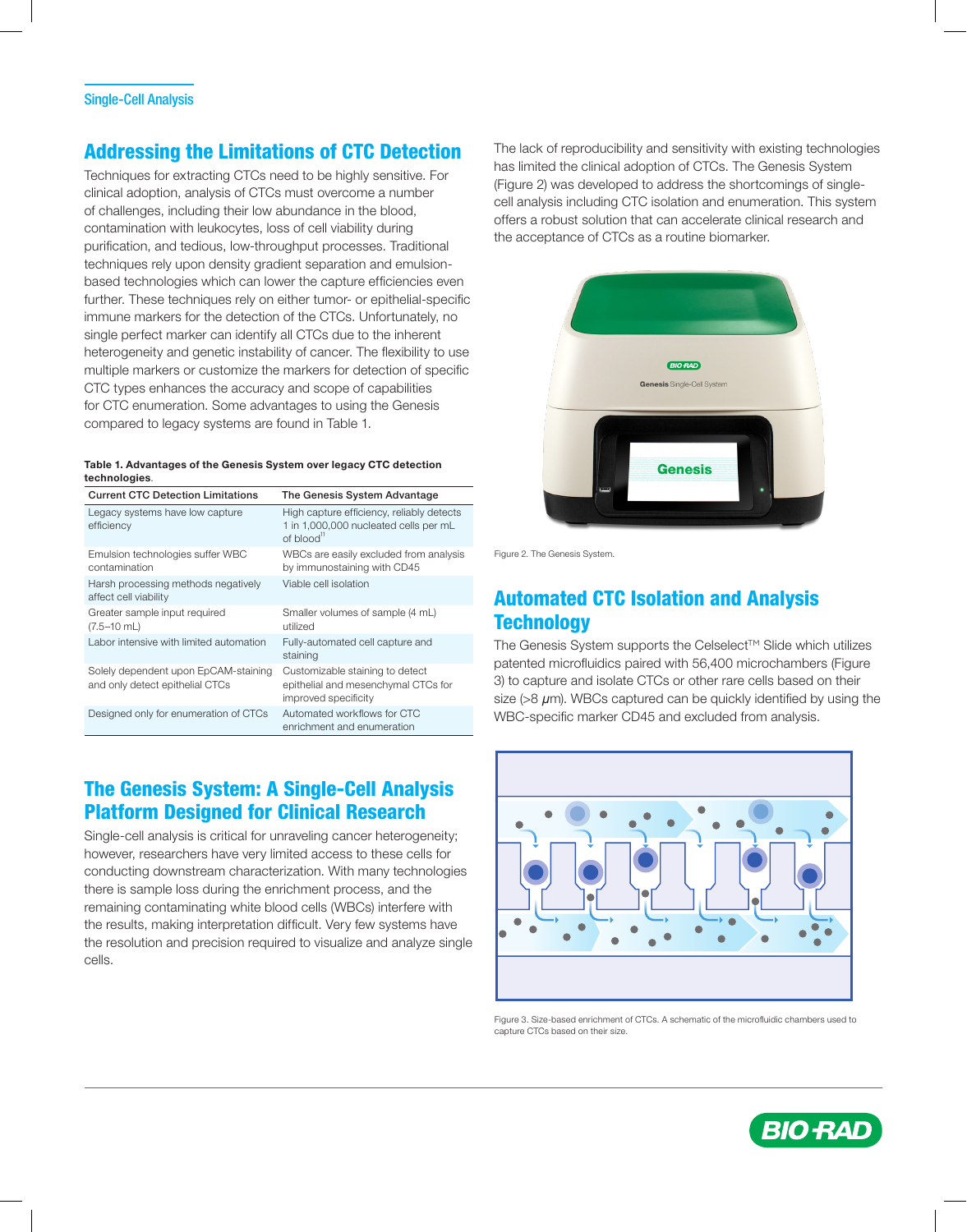# Addressing the Limitations of CTC Detection

Techniques for extracting CTCs need to be highly sensitive. For clinical adoption, analysis of CTCs must overcome a number of challenges, including their low abundance in the blood, contamination with leukocytes, loss of cell viability during purification, and tedious, low-throughput processes. Traditional techniques rely upon density gradient separation and emulsionbased technologies which can lower the capture efficiencies even further. These techniques rely on either tumor- or epithelial-specific immune markers for the detection of the CTCs. Unfortunately, no single perfect marker can identify all CTCs due to the inherent heterogeneity and genetic instability of cancer. The flexibility to use multiple markers or customize the markers for detection of specific CTC types enhances the accuracy and scope of capabilities for CTC enumeration. Some advantages to using the Genesis compared to legacy systems are found in Table 1.

#### Table 1. Advantages of the Genesis System over legacy CTC detection technologies.

| <b>Current CTC Detection Limitations</b>                                | The Genesis System Advantage                                                                                            |
|-------------------------------------------------------------------------|-------------------------------------------------------------------------------------------------------------------------|
| Legacy systems have low capture<br>efficiency                           | High capture efficiency, reliably detects<br>1 in 1,000,000 nucleated cells per mL<br>of blood $\mathrm{^{\mathrm{n}}}$ |
| Emulsion technologies suffer WBC<br>contamination                       | WBCs are easily excluded from analysis<br>by immunostaining with CD45                                                   |
| Harsh processing methods negatively<br>affect cell viability            | Viable cell isolation                                                                                                   |
| Greater sample input required<br>$(7.5-10$ mL)                          | Smaller volumes of sample (4 mL)<br>utilized                                                                            |
| Labor intensive with limited automation                                 | Fully-automated cell capture and<br>staining                                                                            |
| Solely dependent upon EpCAM-staining<br>and only detect epithelial CTCs | Customizable staining to detect<br>epithelial and mesenchymal CTCs for<br>improved specificity                          |
| Designed only for enumeration of CTCs                                   | Automated workflows for CTC<br>enrichment and enumeration                                                               |

## The Genesis System: A Single-Cell Analysis Platform Designed for Clinical Research

Single-cell analysis is critical for unraveling cancer heterogeneity; however, researchers have very limited access to these cells for conducting downstream characterization. With many technologies there is sample loss during the enrichment process, and the remaining contaminating white blood cells (WBCs) interfere with the results, making interpretation difficult. Very few systems have the resolution and precision required to visualize and analyze single cells.

The lack of reproducibility and sensitivity with existing technologies has limited the clinical adoption of CTCs. The Genesis System (Figure 2) was developed to address the shortcomings of singlecell analysis including CTC isolation and enumeration. This system offers a robust solution that can accelerate clinical research and the acceptance of CTCs as a routine biomarker.



Figure 2. The Genesis System.

## Automated CTC Isolation and Analysis **Technology**

The Genesis System supports the Celselect™ Slide which utilizes patented microfluidics paired with 56,400 microchambers (Figure 3) to capture and isolate CTCs or other rare cells based on their size (>8 *µ*m). WBCs captured can be quickly identified by using the WBC-specific marker CD45 and excluded from analysis.



Figure 3. Size-based enrichment of CTCs. A schematic of the microfluidic chambers used to capture CTCs based on their size.

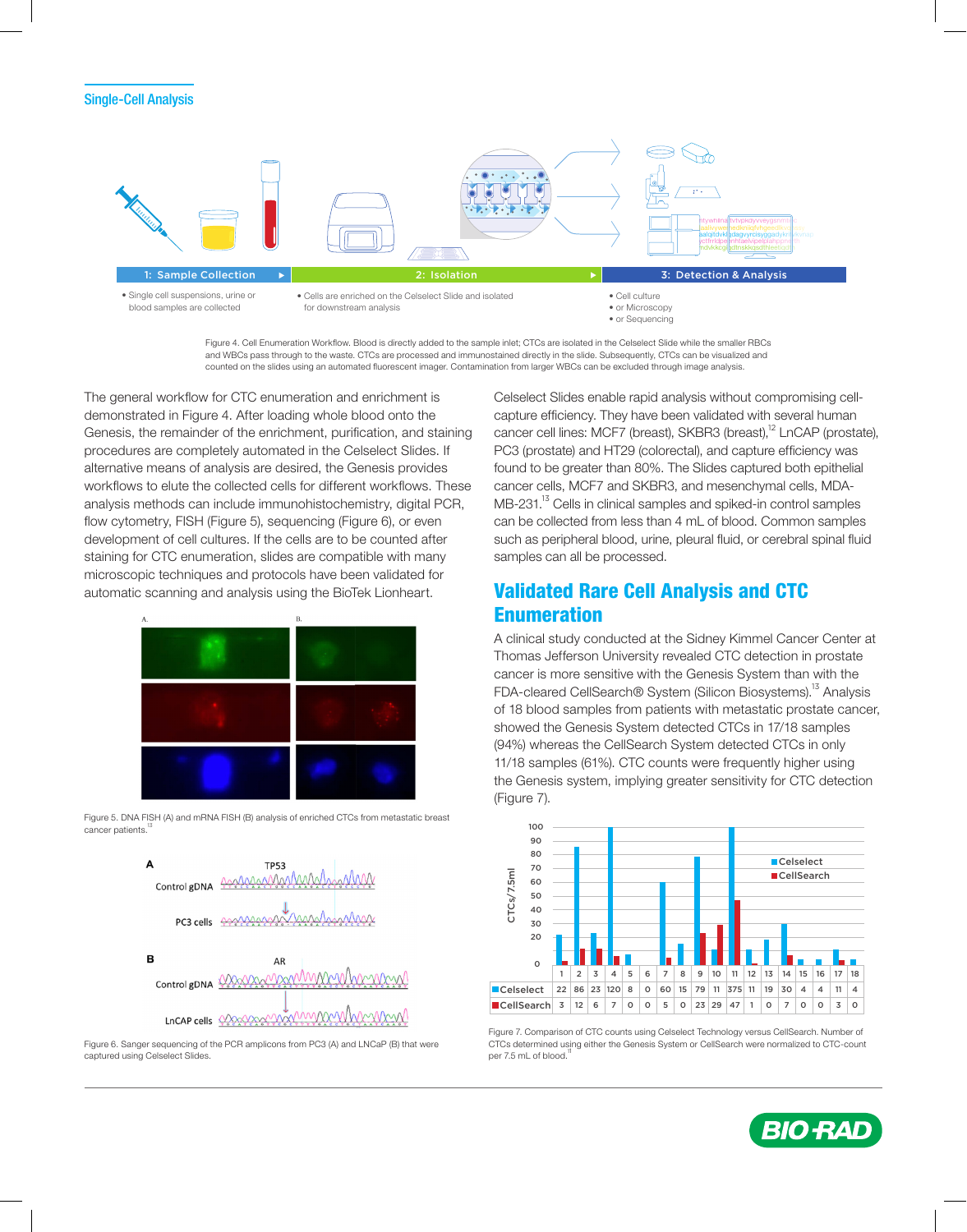

Figure 4. Cell Enumeration Workflow. Blood is directly added to the sample inlet; CTCs are isolated in the Celselect Slide while the smaller RBCs and WBCs pass through to the waste. CTCs are processed and immunostained directly in the slide. Subsequently, CTCs can be visualized and counted on the slides using an automated fluorescent imager. Contamination from larger WBCs can be excluded through image analysis.

The general workflow for CTC enumeration and enrichment is demonstrated in Figure 4. After loading whole blood onto the Genesis, the remainder of the enrichment, purification, and staining procedures are completely automated in the Celselect Slides. If alternative means of analysis are desired, the Genesis provides workflows to elute the collected cells for different workflows. These analysis methods can include immunohistochemistry, digital PCR, flow cytometry, FISH (Figure 5), sequencing (Figure 6), or even development of cell cultures. If the cells are to be counted after staining for CTC enumeration, slides are compatible with many microscopic techniques and protocols have been validated for automatic scanning and analysis using the BioTek Lionheart.



Figure 5. DNA FISH (A) and mRNA FISH (B) analysis of enriched CTCs from metastatic breast cancer patients.



Figure 6. Sanger sequencing of the PCR amplicons from PC3 (A) and LNCaP (B) that were captured using Celselect Slides.

Celselect Slides enable rapid analysis without compromising cellcapture efficiency. They have been validated with several human cancer cell lines: MCF7 (breast), SKBR3 (breast),<sup>12</sup> LnCAP (prostate), PC3 (prostate) and HT29 (colorectal), and capture efficiency was found to be greater than 80%. The Slides captured both epithelial cancer cells, MCF7 and SKBR3, and mesenchymal cells, MDA-MB-231.<sup>13</sup> Cells in clinical samples and spiked-in control samples can be collected from less than 4 mL of blood. Common samples such as peripheral blood, urine, pleural fluid, or cerebral spinal fluid samples can all be processed.

## Validated Rare Cell Analysis and CTC Enumeration

A clinical study conducted at the Sidney Kimmel Cancer Center at Thomas Jefferson University revealed CTC detection in prostate cancer is more sensitive with the Genesis System than with the FDA-cleared CellSearch® System (Silicon Biosystems).<sup>13</sup> Analysis of 18 blood samples from patients with metastatic prostate cancer, showed the Genesis System detected CTCs in 17/18 samples (94%) whereas the CellSearch System detected CTCs in only 11/18 samples (61%). CTC counts were frequently higher using the Genesis system, implying greater sensitivity for CTC detection (Figure 7).



Figure 7. Comparison of CTC counts using Celselect Technology versus CellSearch. Number of CTCs determined using either the Genesis System or CellSearch were normalized to CTC-count per 7.5 mL of blood.

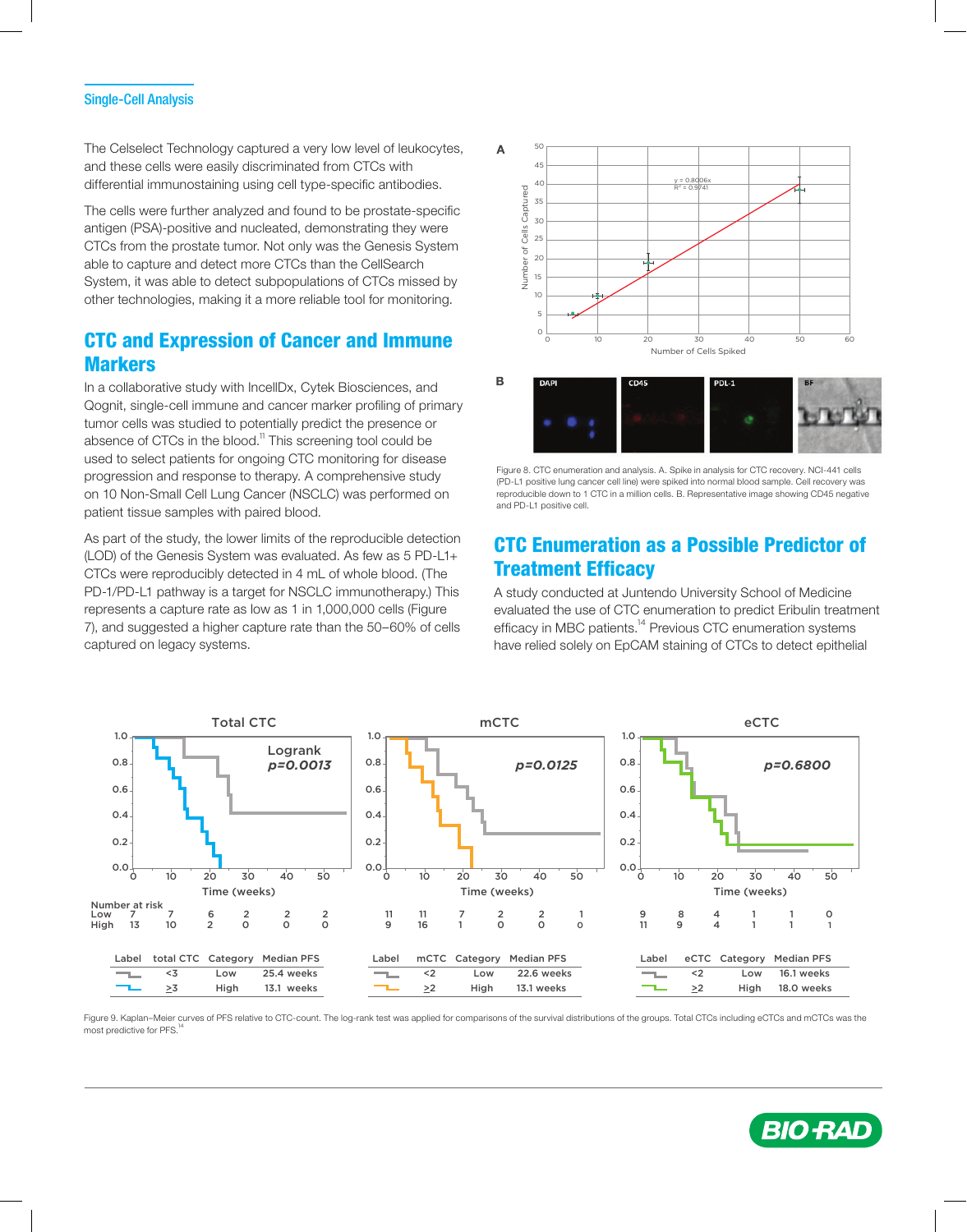The Celselect Technology captured a very low level of leukocytes, and these cells were easily discriminated from CTCs with differential immunostaining using cell type-specific antibodies.

The cells were further analyzed and found to be prostate-specific antigen (PSA)-positive and nucleated, demonstrating they were CTCs from the prostate tumor. Not only was the Genesis System able to capture and detect more CTCs than the CellSearch System, it was able to detect subpopulations of CTCs missed by other technologies, making it a more reliable tool for monitoring.

### CTC and Expression of Cancer and Immune **Markers**

In a collaborative study with IncellDx, Cytek Biosciences, and Qognit, single-cell immune and cancer marker profiling of primary tumor cells was studied to potentially predict the presence or absence of CTCs in the blood. $11$  This screening tool could be used to select patients for ongoing CTC monitoring for disease progression and response to therapy. A comprehensive study on 10 Non-Small Cell Lung Cancer (NSCLC) was performed on patient tissue samples with paired blood.

As part of the study, the lower limits of the reproducible detection (LOD) of the Genesis System was evaluated. As few as 5 PD-L1+ CTCs were reproducibly detected in 4 mL of whole blood. (The PD-1/PD-L1 pathway is a target for NSCLC immunotherapy.) This represents a capture rate as low as 1 in 1,000,000 cells (Figure 7), and suggested a higher capture rate than the 50–60% of cells captured on legacy systems.



Figure 8. CTC enumeration and analysis. A. Spike in analysis for CTC recovery. NCI-441 cells (PD-L1 positive lung cancer cell line) were spiked into normal blood sample. Cell recovery was reproducible down to 1 CTC in a million cells. B. Representative image showing CD45 negative and PD-L1 positive cell.

### CTC Enumeration as a Possible Predictor of Treatment Efficacy

A study conducted at Juntendo University School of Medicine evaluated the use of CTC enumeration to predict Eribulin treatment efficacy in MBC patients.<sup>14</sup> Previous CTC enumeration systems have relied solely on EpCAM staining of CTCs to detect epithelial



Figure 9. Kaplan–Meier curves of PFS relative to CTC-count. The log-rank test was applied for comparisons of the survival distributions of the groups. Total CTCs including eCTCs and mCTCs was the most predictive for PFS.

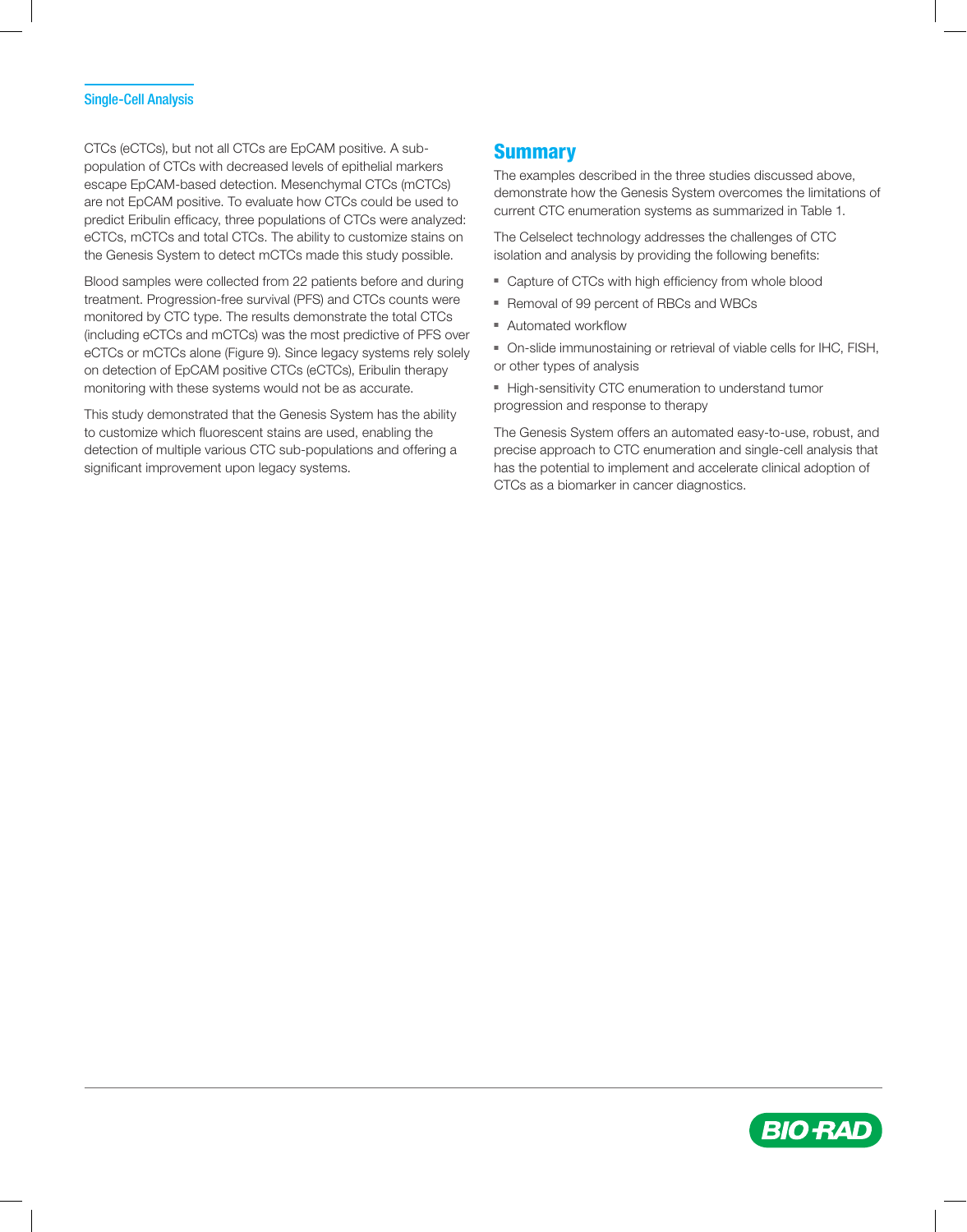CTCs (eCTCs), but not all CTCs are EpCAM positive. A subpopulation of CTCs with decreased levels of epithelial markers escape EpCAM-based detection. Mesenchymal CTCs (mCTCs) are not EpCAM positive. To evaluate how CTCs could be used to predict Eribulin efficacy, three populations of CTCs were analyzed: eCTCs, mCTCs and total CTCs. The ability to customize stains on the Genesis System to detect mCTCs made this study possible.

Blood samples were collected from 22 patients before and during treatment. Progression-free survival (PFS) and CTCs counts were monitored by CTC type. The results demonstrate the total CTCs (including eCTCs and mCTCs) was the most predictive of PFS over eCTCs or mCTCs alone (Figure 9). Since legacy systems rely solely on detection of EpCAM positive CTCs (eCTCs), Eribulin therapy monitoring with these systems would not be as accurate.

This study demonstrated that the Genesis System has the ability to customize which fluorescent stains are used, enabling the detection of multiple various CTC sub-populations and offering a significant improvement upon legacy systems.

### **Summary**

The examples described in the three studies discussed above, demonstrate how the Genesis System overcomes the limitations of current CTC enumeration systems as summarized in Table 1.

The Celselect technology addresses the challenges of CTC isolation and analysis by providing the following benefits:

- Capture of CTCs with high efficiency from whole blood
- Removal of 99 percent of RBCs and WBCs
- Automated workflow
- On-slide immunostaining or retrieval of viable cells for IHC, FISH, or other types of analysis
- High-sensitivity CTC enumeration to understand tumor progression and response to therapy

The Genesis System offers an automated easy-to-use, robust, and precise approach to CTC enumeration and single-cell analysis that has the potential to implement and accelerate clinical adoption of CTCs as a biomarker in cancer diagnostics.